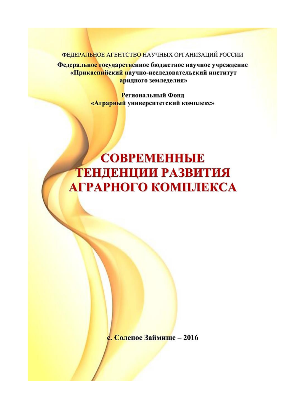ФЕДЕРАЛЬНОЕ АГЕНТСТВО НАУЧНЫХ ОРГАНИЗАЦИЙ РОССИИ

Федеральное государственное бюджетное научное учреждение «Прикаспийский научно-исследовательский институт аридного земледелия»

> Региональный Фонд «Аграрный университетский комплекс»

## **COBPEMEHHLIE** ТЕНДЕНЦИИ РАЗВИТИЯ АГРАРНОГО КОМПЛЕКСА

с. Соленое Займище - 2016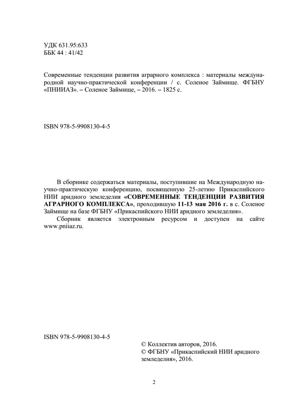УДК 631.95:633 ББК 44:41/42

Современные тенденции развития аграрного комплекса: материалы международной научно-практической конференции / с. Соленое Займище. ФГБНУ «ПНИИАЗ». - Соленое Займище, - 2016. - 1825 с.

ISBN 978-5-9908130-4-5

В сборнике содержаться материалы, поступившие на Международную научно-практическую конференцию, посвященную 25-летию Прикаспийского НИИ аридного земледелия «СОВРЕМЕННЫЕ ТЕНДЕНЦИИ РАЗВИТИЯ АГРАРНОГО КОМПЛЕКСА», проходившую 11-13 мая 2016 г. в с. Соленое Займище на базе ФГБНУ «Прикаспийского НИИ аридного земледелия».

Сборник является электронным ресурсом и доступен на сайте www.pniiaz.ru.

ISBN 978-5-9908130-4-5

© Коллектив авторов, 2016. © ФГБНУ «Прикаспийский НИИ аридного земледелия», 2016.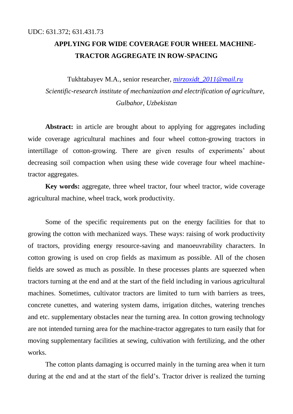## **APPLYING FOR WIDE COVERAGE FOUR WHEEL MACHINE-TRACTOR AGGREGATE IN ROW-SPACING**

Tukhtabayev M.A., senior researcher, *[mirzoxidt\\_2011@mail.ru](mailto:mirzoxidt_2011@mail.ru)*

*Scientific-research institute of mechanization and electrification of agriculture, Gulbahor, Uzbekistan*

Abstract: in article are brought about to applying for aggregates including wide coverage agricultural machines and four wheel cotton-growing tractors in intertillage of cotton-growing. There are given results of experiments' about decreasing soil compaction when using these wide coverage four wheel machinetractor aggregates.

**Key words:** aggregate, three wheel tractor, four wheel tractor, wide coverage agricultural machine, wheel track, work productivity.

Some of the specific requirements put on the energy facilities for that to growing the cotton with mechanized ways. These ways: raising of work productivity of tractors, providing energy resource-saving and manoeuvrability characters. In cotton growing is used on crop fields as maximum as possible. All of the chosen fields are sowed as much as possible. In these processes plants are squeezed when tractors turning at the end and at the start of the field including in various agricultural machines. Sometimes, cultivator tractors are limited to turn with barriers as trees, concrete cunettes, and watering system dams, irrigation ditches, watering trenches and etc. supplementary obstacles near the turning area. In cotton growing technology are not intended turning area for the machine-tractor aggregates to turn easily that for moving supplementary facilities at sewing, cultivation with fertilizing, and the other works.

The cotton plants damaging is occurred mainly in the turning area when it turn during at the end and at the start of the field's. Tractor driver is realized the turning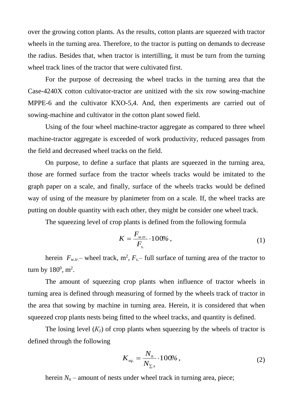over the growing cotton plants. As the results, cotton plants are squeezed with tractor wheels in the turning area. Therefore, to the tractor is putting on demands to decrease the radius. Besides that, when tractor is intertilling, it must be turn from the turning wheel track lines of the tractor that were cultivated first.

For the purpose of decreasing the wheel tracks in the turning area that the Case-4240X cotton cultivator-tractor are unitized with the six row sowing-machine MPPE-6 and the cultivator КХО-5,4. And, then experiments are carried out of sowing-machine and cultivator in the cotton plant sowed field.

Using of the four wheel machine-tractor aggregate as compared to three wheel machine-tractor aggregate is exceeded of work productivity, reduced passages from the field and decreased wheel tracks on the field.

On purpose, to define a surface that plants are squeezed in the turning area, those are formed surface from the tractor wheels tracks would be imitated to the graph paper on a scale, and finally, surface of the wheels tracks would be defined way of using of the measure by planimeter from on a scale. If, the wheel tracks are putting on double quantity with each other, they might be consider one wheel track.

The squeezing level of crop plants is defined from the following formula

$$
K = \frac{F_{w,tr.}}{F_{s.}} \cdot 100\%,
$$
 (1)

herein  $F_{w,tr}$  – wheel track,  $m^2$ ,  $F_{s}$  – full surface of turning area of the tractor to turn by  $180^0$ , m<sup>2</sup>.

The amount of squeezing crop plants when influence of tractor wheels in turning area is defined through measuring of formed by the wheels track of tractor in the area that sowing by machine in turning area. Herein, it is considered that when squeezed crop plants nests being fitted to the wheel tracks, and quantity is defined.

The losing level  $(K_{\tilde{v}})$  of crop plants when squeezing by the wheels of tractor is defined through the following

$$
K_{sq.} = \frac{N_n}{N_{\Sigma^s}} \cdot 100\%,\tag{2}
$$

herein  $N_n$  – amount of nests under wheel track in turning area, piece;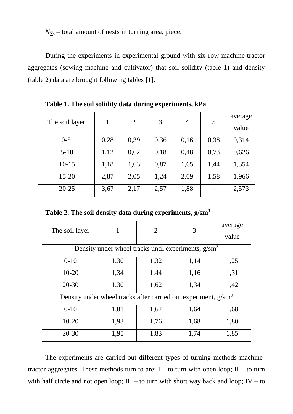*N*<sup>*∑s*</sup> – total amount of nests in turning area, piece.

During the experiments in experimental ground with six row machine-tractor aggregates (sowing machine and cultivator) that soil solidity (table 1) and density (table 2) data are brought following tables [1].

|                | 1    | 2    | 3    | $\overline{4}$ | 5    | average |
|----------------|------|------|------|----------------|------|---------|
| The soil layer |      |      |      |                |      | value   |
| $0 - 5$        | 0,28 | 0,39 | 0,36 | 0,16           | 0,38 | 0,314   |
| $5-10$         | 1,12 | 0,62 | 0,18 | 0,48           | 0,73 | 0,626   |
| $10-15$        | 1,18 | 1,63 | 0,87 | 1,65           | 1,44 | 1,354   |
| $15 - 20$      | 2,87 | 2,05 | 1,24 | 2,09           | 1,58 | 1,966   |
| $20 - 25$      | 3,67 | 2,17 | 2,57 | 1,88           |      | 2,573   |

**Table 1. The soil solidity data during experiments, kPa**

**Table 2. The soil density data during experiments, g/sm<sup>3</sup>**

| The soil layer                                                             | 1    | $\overline{2}$ | 3    | average |  |  |  |
|----------------------------------------------------------------------------|------|----------------|------|---------|--|--|--|
|                                                                            |      |                |      | value   |  |  |  |
| Density under wheel tracks until experiments, $g/cm3$                      |      |                |      |         |  |  |  |
| $0 - 10$                                                                   | 1,30 | 1,32           | 1,14 | 1,25    |  |  |  |
| $10 - 20$                                                                  | 1,34 | 1,44           | 1,16 | 1,31    |  |  |  |
| $20 - 30$                                                                  | 1,30 | 1,62           | 1,34 | 1,42    |  |  |  |
| Density under wheel tracks after carried out experiment, g/sm <sup>3</sup> |      |                |      |         |  |  |  |
| $0 - 10$                                                                   | 1,81 | 1,62           | 1,64 | 1,68    |  |  |  |
| $10 - 20$                                                                  | 1,93 | 1,76           | 1,68 | 1,80    |  |  |  |
| $20 - 30$                                                                  | 1,95 | 1,83           | 1,74 | 1,85    |  |  |  |

The experiments are carried out different types of turning methods machinetractor aggregates. These methods turn to are:  $I -$  to turn with open loop;  $II -$  to turn with half circle and not open loop;  $III -$  to turn with short way back and loop;  $IV -$  to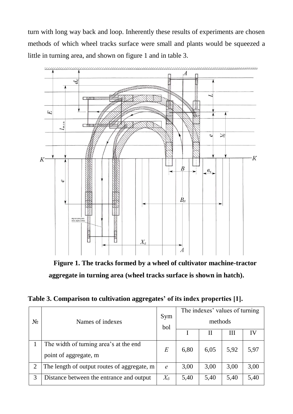turn with long way back and loop. Inherently these results of experiments are chosen methods of which wheel tracks surface were small and plants would be squeezed a little in turning area, and shown on figure 1 and in table 3.



**Figure 1. The tracks formed by a wheel of cultivator machine-tractor aggregate in turning area (wheel tracks surface is shown in hatch).**

**Table 3. Comparison to cultivation aggregates' of its index properties [1].**

| $N_{\Omega}$   | Names of indexes                                                | Sym<br>bol                  | The indexes' values of turning<br>methods |      |      |      |
|----------------|-----------------------------------------------------------------|-----------------------------|-------------------------------------------|------|------|------|
|                |                                                                 |                             |                                           | H    | Ш    |      |
|                | The width of turning area's at the end<br>point of aggregate, m | $E\,$                       | 6,80                                      | 6,05 | 5,92 | 5,97 |
| $\overline{2}$ | The length of output routes of aggregate, m                     | $\mathcal{C}_{\mathcal{C}}$ | 3,00                                      | 3,00 | 3,00 | 3,00 |
| 3              | Distance between the entrance and output                        | $X_{\tilde{o}}$             | 5,40                                      | 5,40 | 5,40 | 5,40 |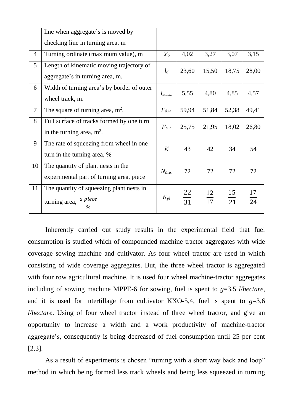|                | line when aggregate's is moved by                                              |                       |                 |                       |                       |                       |
|----------------|--------------------------------------------------------------------------------|-----------------------|-----------------|-----------------------|-----------------------|-----------------------|
|                | checking line in turning area, m                                               |                       |                 |                       |                       |                       |
| $\overline{4}$ | Turning ordinate (maximum value), m                                            | $V_6$                 | 4,02            | 3,27                  | 3,07                  | 3,15                  |
| 5              | Length of kinematic moving trajectory of<br>aggregate's in turning area, m.    | $l_{\tilde{o}}$       | 23,60           | 15,50                 | 18,75                 | 28,00                 |
| 6              | Width of turning area's by border of outer<br>wheel track, m.                  | $l_{m,\varepsilon,u}$ | 5,55            | 4,80                  | 4,85                  | 4,57                  |
| $\overline{7}$ | The square of turning area, $m^2$ .                                            | $F_{6. M.}$           | 59,94           | 51,84                 | 52,38                 | 49,41                 |
| 8              | Full surface of tracks formed by one turn<br>in the turning area, $m^2$ .      | $F_{\rm sur}$         | 25,75           | 21,95                 | 18,02                 | 26,80                 |
| 9              | The rate of squeezing from wheel in one.<br>turn in the turning area, %        | K                     | 43              | 42                    | 34                    | 54                    |
| 10             | The quantity of plant nests in the<br>experimental part of turning area, piece | $N_{6_{.M.}}$         | 72              | 72                    | 72                    | 72                    |
| 11             | The quantity of squeezing plant nests in<br>turning area, <i>a piece</i>       | $K_{pl}$              | $\frac{22}{31}$ | 12<br>$\overline{17}$ | 15<br>$\overline{21}$ | 17<br>$\overline{24}$ |

Inherently carried out study results in the experimental field that fuel consumption is studied which of compounded machine-tractor aggregates with wide coverage sowing machine and cultivator. As four wheel tractor are used in which consisting of wide coverage aggregates. But, the three wheel tractor is aggregated with four row agricultural machine. It is used four wheel machine-tractor aggregates including of sowing machine MPPE-6 for sowing, fuel is spent to *g*=3,5 *l*/*hectare*, and it is used for intertillage from cultivator KXO-5,4, fuel is spent to  $g=3,6$ *l*/*hectare*. Using of four wheel tractor instead of three wheel tractor, and give an opportunity to increase a width and a work productivity of machine-tractor aggregate's, consequently is being decreased of fuel consumption until 25 per cent [2,3].

As a result of experiments is chosen "turning with a short way back and loop" method in which being formed less track wheels and being less squeezed in turning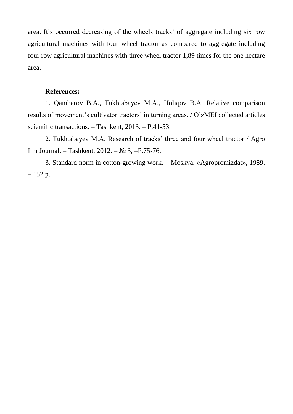area. It's occurred decreasing of the wheels tracks' of aggregate including six row agricultural machines with four wheel tractor as compared to aggregate including four row agricultural machines with three wheel tractor 1,89 times for the one hectare area.

## **References:**

1. Qambarov B.A., Тukhtabayev М.А., Holiqov B.A. Relative comparison results of movement's cultivator tractors' in turning areas. / O'zMEI collected articles scientific transactions. – Tashkent, 2013. – P.41-53.

2. Tukhtabayev М.А. Research of tracks' three and four wheel tractor / Agro Ilm Journal. – Tashkent, 2012. – № 3, –P.75-76.

3. Standard norm in cotton-growing work. – Moskva, «Agropromizdat», 1989.  $-152 p.$